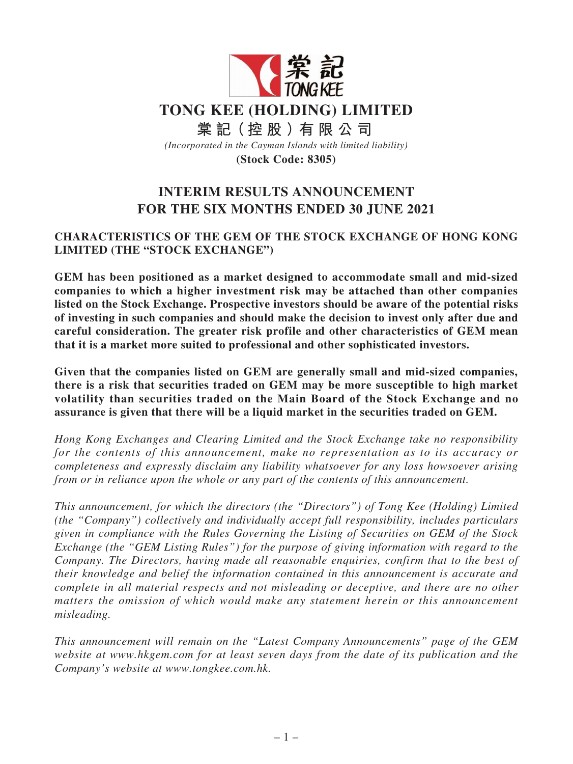

# **INTERIM RESULTS ANNOUNCEMENT FOR THE SIX MONTHS ENDED 30 JUNE 2021**

## **CHARACTERISTICS OF THE GEM OF THE STOCK EXCHANGE OF HONG KONG LIMITED (THE "STOCK EXCHANGE")**

**GEM has been positioned as a market designed to accommodate small and mid-sized companies to which a higher investment risk may be attached than other companies listed on the Stock Exchange. Prospective investors should be aware of the potential risks of investing in such companies and should make the decision to invest only after due and careful consideration. The greater risk profile and other characteristics of GEM mean that it is a market more suited to professional and other sophisticated investors.**

**Given that the companies listed on GEM are generally small and mid-sized companies, there is a risk that securities traded on GEM may be more susceptible to high market volatility than securities traded on the Main Board of the Stock Exchange and no assurance is given that there will be a liquid market in the securities traded on GEM.**

*Hong Kong Exchanges and Clearing Limited and the Stock Exchange take no responsibility for the contents of this announcement, make no representation as to its accuracy or completeness and expressly disclaim any liability whatsoever for any loss howsoever arising from or in reliance upon the whole or any part of the contents of this announcement.*

*This announcement, for which the directors (the "Directors") of Tong Kee (Holding) Limited (the "Company") collectively and individually accept full responsibility, includes particulars given in compliance with the Rules Governing the Listing of Securities on GEM of the Stock Exchange (the "GEM Listing Rules") for the purpose of giving information with regard to the Company. The Directors, having made all reasonable enquiries, confirm that to the best of their knowledge and belief the information contained in this announcement is accurate and complete in all material respects and not misleading or deceptive, and there are no other matters the omission of which would make any statement herein or this announcement misleading.*

*This announcement will remain on the "Latest Company Announcements" page of the GEM website at www.hkgem.com for at least seven days from the date of its publication and the Company's website at www.tongkee.com.hk.*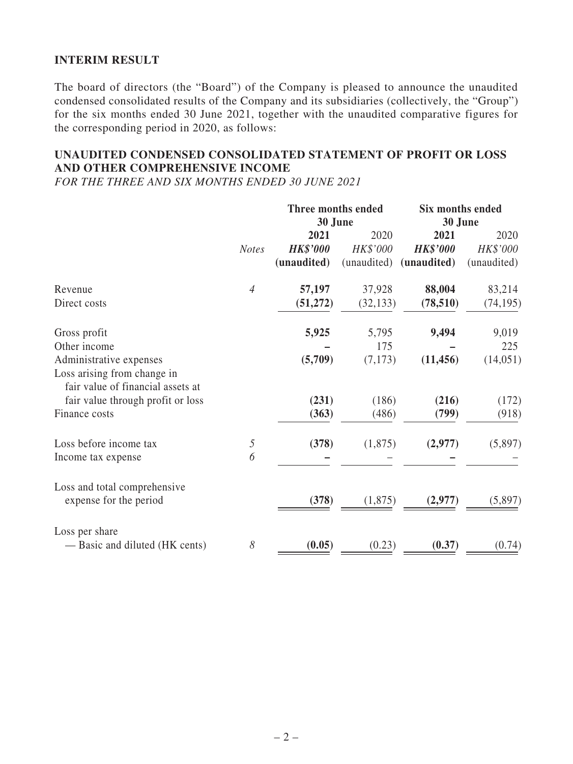## **INTERIM RESULT**

The board of directors (the "Board") of the Company is pleased to announce the unaudited condensed consolidated results of the Company and its subsidiaries (collectively, the "Group") for the six months ended 30 June 2021, together with the unaudited comparative figures for the corresponding period in 2020, as follows:

## **UNAUDITED CONDENSED CONSOLIDATED STATEMENT OF PROFIT OR LOSS AND OTHER COMPREHENSIVE INCOME**

*FOR THE THREE AND SIX MONTHS ENDED 30 JUNE 2021*

|                                                                  |                | Three months ended |             | Six months ended |             |  |
|------------------------------------------------------------------|----------------|--------------------|-------------|------------------|-------------|--|
|                                                                  |                | 30 June            |             | 30 June          |             |  |
|                                                                  |                | 2021               | 2020        | 2021             | 2020        |  |
|                                                                  | <b>Notes</b>   | <b>HK\$'000</b>    | HK\$'000    | <b>HK\$'000</b>  | HK\$'000    |  |
|                                                                  |                | (unaudited)        | (unaudited) | (unaudited)      | (unaudited) |  |
| Revenue                                                          | $\overline{4}$ | 57,197             | 37,928      | 88,004           | 83,214      |  |
| Direct costs                                                     |                | (51, 272)          | (32, 133)   | (78, 510)        | (74, 195)   |  |
| Gross profit                                                     |                | 5,925              | 5,795       | 9,494            | 9,019       |  |
| Other income                                                     |                |                    | 175         |                  | 225         |  |
| Administrative expenses                                          |                | (5,709)            | (7,173)     | (11, 456)        | (14, 051)   |  |
| Loss arising from change in<br>fair value of financial assets at |                |                    |             |                  |             |  |
| fair value through profit or loss                                |                | (231)              | (186)       | (216)            | (172)       |  |
| Finance costs                                                    |                | (363)              | (486)       | (799)            | (918)       |  |
| Loss before income tax                                           | 5              | (378)              | (1,875)     | (2,977)          | (5,897)     |  |
| Income tax expense                                               | 6              |                    |             |                  |             |  |
| Loss and total comprehensive                                     |                |                    |             |                  |             |  |
| expense for the period                                           |                | (378)              | (1,875)     | (2,977)          | (5,897)     |  |
| Loss per share                                                   |                |                    |             |                  |             |  |
| - Basic and diluted (HK cents)                                   | 8              | (0.05)             | (0.23)      | (0.37)           | (0.74)      |  |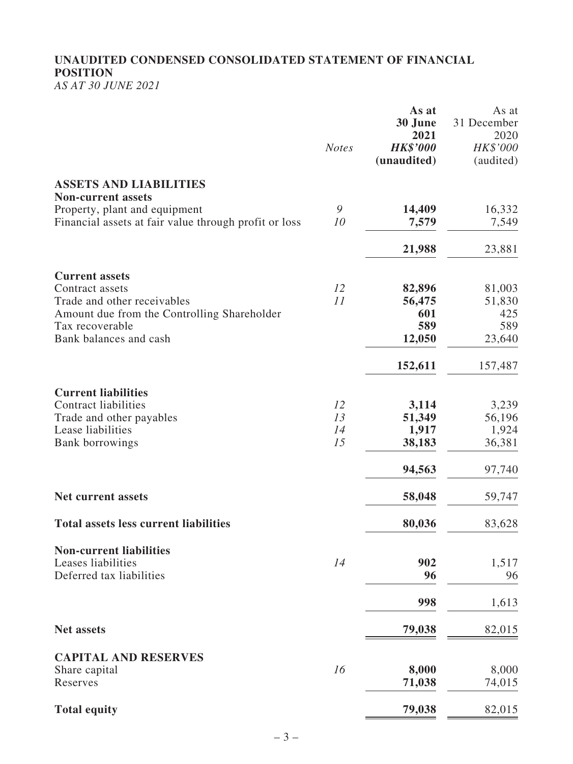# **UNAUDITED CONDENSED CONSOLIDATED STATEMENT OF FINANCIAL POSITION**

*AS AT 30 JUNE 2021*

|                                                                                        | <b>Notes</b> | As at<br>30 June<br>2021<br><b>HK\$'000</b><br>(unaudited) | As at<br>31 December<br>2020<br>HK\$'000<br>(audited) |
|----------------------------------------------------------------------------------------|--------------|------------------------------------------------------------|-------------------------------------------------------|
| <b>ASSETS AND LIABILITIES</b>                                                          |              |                                                            |                                                       |
| <b>Non-current assets</b>                                                              |              |                                                            |                                                       |
| Property, plant and equipment<br>Financial assets at fair value through profit or loss | 9<br>10      | 14,409<br>7,579                                            | 16,332<br>7,549                                       |
|                                                                                        |              | 21,988                                                     | 23,881                                                |
| <b>Current assets</b>                                                                  |              |                                                            |                                                       |
| Contract assets                                                                        | 12           | 82,896                                                     | 81,003                                                |
| Trade and other receivables                                                            | 11           | 56,475                                                     | 51,830                                                |
| Amount due from the Controlling Shareholder                                            |              | 601                                                        | 425                                                   |
| Tax recoverable                                                                        |              | 589                                                        | 589                                                   |
| Bank balances and cash                                                                 |              | 12,050                                                     | 23,640                                                |
|                                                                                        |              | 152,611                                                    | 157,487                                               |
| <b>Current liabilities</b>                                                             |              |                                                            |                                                       |
| <b>Contract liabilities</b>                                                            | 12           | 3,114                                                      | 3,239                                                 |
| Trade and other payables                                                               | 13           | 51,349                                                     | 56,196                                                |
| Lease liabilities                                                                      | 14<br>15     | 1,917                                                      | 1,924                                                 |
| <b>Bank borrowings</b>                                                                 |              | 38,183                                                     | 36,381                                                |
|                                                                                        |              | 94,563                                                     | 97,740                                                |
| <b>Net current assets</b>                                                              |              | 58,048                                                     | 59,747                                                |
| <b>Total assets less current liabilities</b>                                           |              | 80,036                                                     | 83,628                                                |
| <b>Non-current liabilities</b>                                                         |              |                                                            |                                                       |
| Leases liabilities                                                                     | 14           | 902                                                        | 1,517                                                 |
| Deferred tax liabilities                                                               |              | 96                                                         | 96                                                    |
|                                                                                        |              | 998                                                        | 1,613                                                 |
| <b>Net assets</b>                                                                      |              | 79,038                                                     | 82,015                                                |
| <b>CAPITAL AND RESERVES</b>                                                            |              |                                                            |                                                       |
| Share capital                                                                          | 16           | 8,000                                                      | 8,000                                                 |
| Reserves                                                                               |              | 71,038                                                     | 74,015                                                |
|                                                                                        |              |                                                            |                                                       |
| <b>Total equity</b>                                                                    |              | 79,038                                                     | 82,015                                                |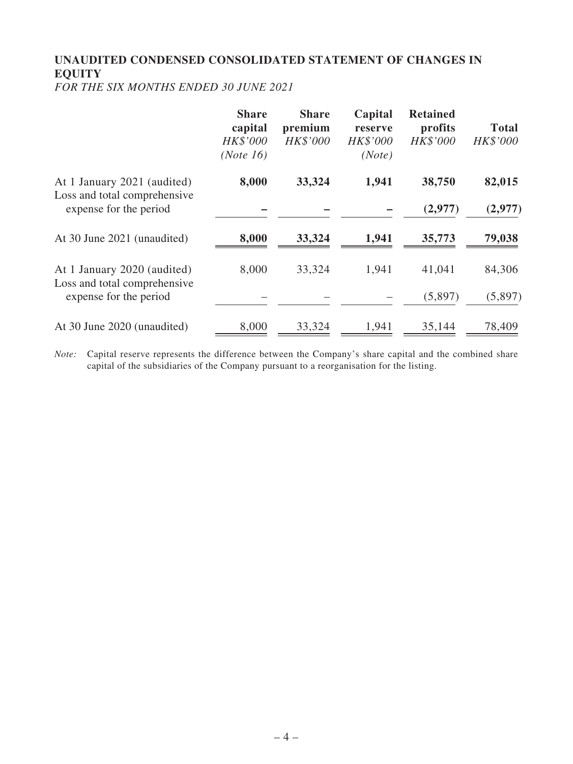# **UNAUDITED CONDENSED CONSOLIDATED STATEMENT OF CHANGES IN EQUITY**

*FOR THE SIX MONTHS ENDED 30 JUNE 2021*

|                                                             | <b>Share</b><br>capital<br>HK\$'000<br>(Note 16) | <b>Share</b><br>premium<br>HK\$'000 | Capital<br>reserve<br>HK\$'000<br>(Note) | <b>Retained</b><br>profits<br>HK\$'000 | <b>Total</b><br>HK\$'000 |
|-------------------------------------------------------------|--------------------------------------------------|-------------------------------------|------------------------------------------|----------------------------------------|--------------------------|
| At 1 January 2021 (audited)<br>Loss and total comprehensive | 8,000                                            | 33,324                              | 1,941                                    | 38,750                                 | 82,015                   |
| expense for the period                                      |                                                  |                                     |                                          | (2,977)                                | (2,977)                  |
| At 30 June 2021 (unaudited)                                 | 8,000                                            | 33,324                              | 1,941                                    | 35,773                                 | 79,038                   |
| At 1 January 2020 (audited)<br>Loss and total comprehensive | 8,000                                            | 33,324                              | 1,941                                    | 41,041                                 | 84,306                   |
| expense for the period                                      |                                                  |                                     |                                          | (5,897)                                | (5,897)                  |
| At 30 June 2020 (unaudited)                                 | 8,000                                            | 33,324                              | 1,941                                    | 35,144                                 | 78,409                   |

*Note:* Capital reserve represents the difference between the Company's share capital and the combined share capital of the subsidiaries of the Company pursuant to a reorganisation for the listing.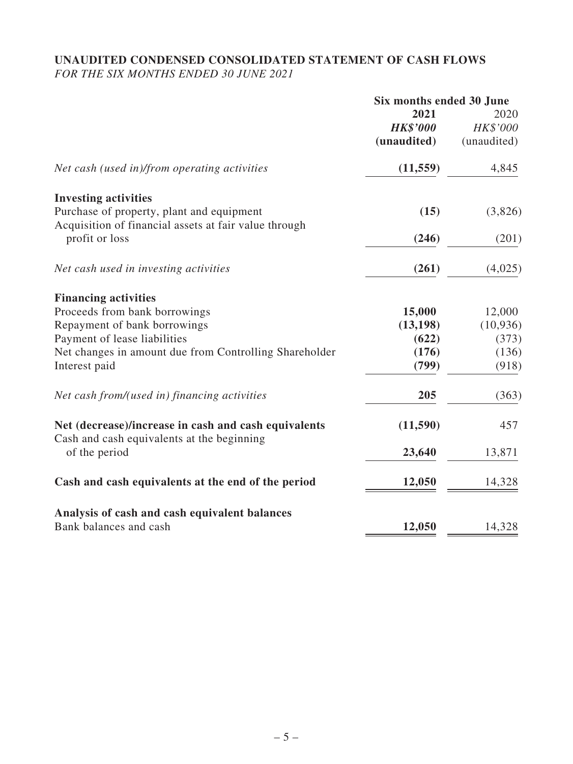## **UNAUDITED CONDENSED CONSOLIDATED STATEMENT OF CASH FLOWS** *FOR THE SIX MONTHS ENDED 30 JUNE 2021*

|                                                                                                    | Six months ended 30 June |             |  |
|----------------------------------------------------------------------------------------------------|--------------------------|-------------|--|
|                                                                                                    | 2021                     | 2020        |  |
|                                                                                                    | <b>HK\$'000</b>          | HK\$'000    |  |
|                                                                                                    | (unaudited)              | (unaudited) |  |
| Net cash (used in)/from operating activities                                                       | (11, 559)                | 4,845       |  |
| <b>Investing activities</b>                                                                        |                          |             |  |
| Purchase of property, plant and equipment<br>Acquisition of financial assets at fair value through | (15)                     | (3,826)     |  |
| profit or loss                                                                                     | (246)                    | (201)       |  |
| Net cash used in investing activities                                                              | (261)                    | (4,025)     |  |
| <b>Financing activities</b>                                                                        |                          |             |  |
| Proceeds from bank borrowings                                                                      | 15,000                   | 12,000      |  |
| Repayment of bank borrowings                                                                       | (13, 198)                | (10, 936)   |  |
| Payment of lease liabilities                                                                       | (622)                    | (373)       |  |
| Net changes in amount due from Controlling Shareholder                                             | (176)                    | (136)       |  |
| Interest paid                                                                                      | (799)                    | (918)       |  |
| Net cash from/(used in) financing activities                                                       | 205                      | (363)       |  |
| Net (decrease)/increase in cash and cash equivalents<br>Cash and cash equivalents at the beginning | (11,590)                 | 457         |  |
| of the period                                                                                      | 23,640                   | 13,871      |  |
| Cash and cash equivalents at the end of the period                                                 | 12,050                   | 14,328      |  |
| Analysis of cash and cash equivalent balances                                                      |                          |             |  |
| Bank balances and cash                                                                             | 12,050                   | 14,328      |  |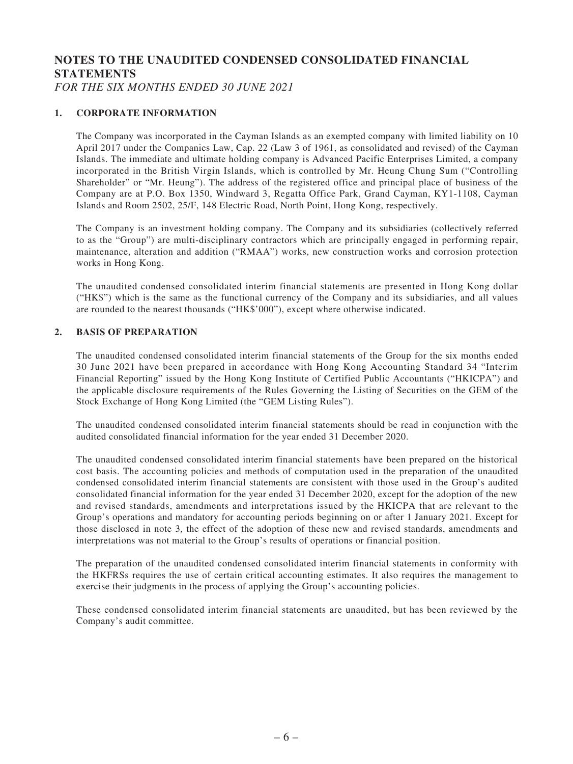# **NOTES TO THE UNAUDITED CONDENSED CONSOLIDATED FINANCIAL STATEMENTS**

*FOR THE SIX MONTHS ENDED 30 JUNE 2021*

#### **1. CORPORATE INFORMATION**

The Company was incorporated in the Cayman Islands as an exempted company with limited liability on 10 April 2017 under the Companies Law, Cap. 22 (Law 3 of 1961, as consolidated and revised) of the Cayman Islands. The immediate and ultimate holding company is Advanced Pacific Enterprises Limited, a company incorporated in the British Virgin Islands, which is controlled by Mr. Heung Chung Sum ("Controlling Shareholder" or "Mr. Heung"). The address of the registered office and principal place of business of the Company are at P.O. Box 1350, Windward 3, Regatta Office Park, Grand Cayman, KY1-1108, Cayman Islands and Room 2502, 25/F, 148 Electric Road, North Point, Hong Kong, respectively.

The Company is an investment holding company. The Company and its subsidiaries (collectively referred to as the "Group") are multi-disciplinary contractors which are principally engaged in performing repair, maintenance, alteration and addition ("RMAA") works, new construction works and corrosion protection works in Hong Kong.

The unaudited condensed consolidated interim financial statements are presented in Hong Kong dollar ("HK\$") which is the same as the functional currency of the Company and its subsidiaries, and all values are rounded to the nearest thousands ("HK\$'000"), except where otherwise indicated.

#### **2. BASIS OF PREPARATION**

The unaudited condensed consolidated interim financial statements of the Group for the six months ended 30 June 2021 have been prepared in accordance with Hong Kong Accounting Standard 34 "Interim Financial Reporting" issued by the Hong Kong Institute of Certified Public Accountants ("HKICPA") and the applicable disclosure requirements of the Rules Governing the Listing of Securities on the GEM of the Stock Exchange of Hong Kong Limited (the "GEM Listing Rules").

The unaudited condensed consolidated interim financial statements should be read in conjunction with the audited consolidated financial information for the year ended 31 December 2020.

The unaudited condensed consolidated interim financial statements have been prepared on the historical cost basis. The accounting policies and methods of computation used in the preparation of the unaudited condensed consolidated interim financial statements are consistent with those used in the Group's audited consolidated financial information for the year ended 31 December 2020, except for the adoption of the new and revised standards, amendments and interpretations issued by the HKICPA that are relevant to the Group's operations and mandatory for accounting periods beginning on or after 1 January 2021. Except for those disclosed in note 3, the effect of the adoption of these new and revised standards, amendments and interpretations was not material to the Group's results of operations or financial position.

The preparation of the unaudited condensed consolidated interim financial statements in conformity with the HKFRSs requires the use of certain critical accounting estimates. It also requires the management to exercise their judgments in the process of applying the Group's accounting policies.

These condensed consolidated interim financial statements are unaudited, but has been reviewed by the Company's audit committee.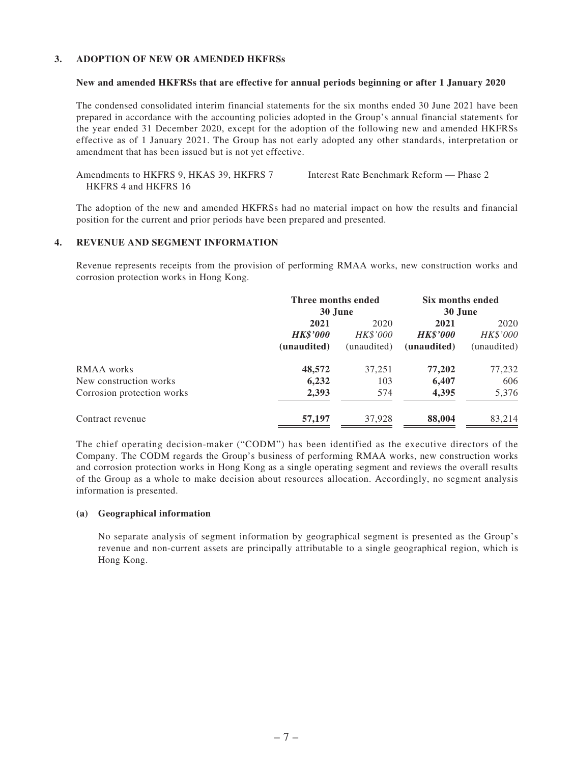#### **3. ADOPTION OF NEW OR AMENDED HKFRSs**

#### **New and amended HKFRSs that are effective for annual periods beginning or after 1 January 2020**

The condensed consolidated interim financial statements for the six months ended 30 June 2021 have been prepared in accordance with the accounting policies adopted in the Group's annual financial statements for the year ended 31 December 2020, except for the adoption of the following new and amended HKFRSs effective as of 1 January 2021. The Group has not early adopted any other standards, interpretation or amendment that has been issued but is not yet effective.

Amendments to HKFRS 9, HKAS 39, HKFRS 7 HKFRS 4 and HKFRS 16 Interest Rate Benchmark Reform — Phase 2

The adoption of the new and amended HKFRSs had no material impact on how the results and financial position for the current and prior periods have been prepared and presented.

#### **4. REVENUE AND SEGMENT INFORMATION**

Revenue represents receipts from the provision of performing RMAA works, new construction works and corrosion protection works in Hong Kong.

|                            | Three months ended |                 | Six months ended |             |
|----------------------------|--------------------|-----------------|------------------|-------------|
|                            | 30 June            |                 | 30 June          |             |
|                            | 2021               | 2020            | 2021             | 2020        |
|                            | <b>HK\$'000</b>    | <b>HK\$'000</b> | <b>HK\$'000</b>  | HK\$'000    |
|                            | (unaudited)        | (unaudited)     | (unaudited)      | (unaudited) |
| RMAA works                 | 48,572             | 37,251          | 77,202           | 77,232      |
| New construction works     | 6,232              | 103             | 6,407            | 606         |
| Corrosion protection works | 2,393              | 574             | 4,395            | 5,376       |
| Contract revenue           | 57,197             | 37,928          | 88,004           | 83.214      |

The chief operating decision-maker ("CODM") has been identified as the executive directors of the Company. The CODM regards the Group's business of performing RMAA works, new construction works and corrosion protection works in Hong Kong as a single operating segment and reviews the overall results of the Group as a whole to make decision about resources allocation. Accordingly, no segment analysis information is presented.

#### **(a) Geographical information**

No separate analysis of segment information by geographical segment is presented as the Group's revenue and non-current assets are principally attributable to a single geographical region, which is Hong Kong.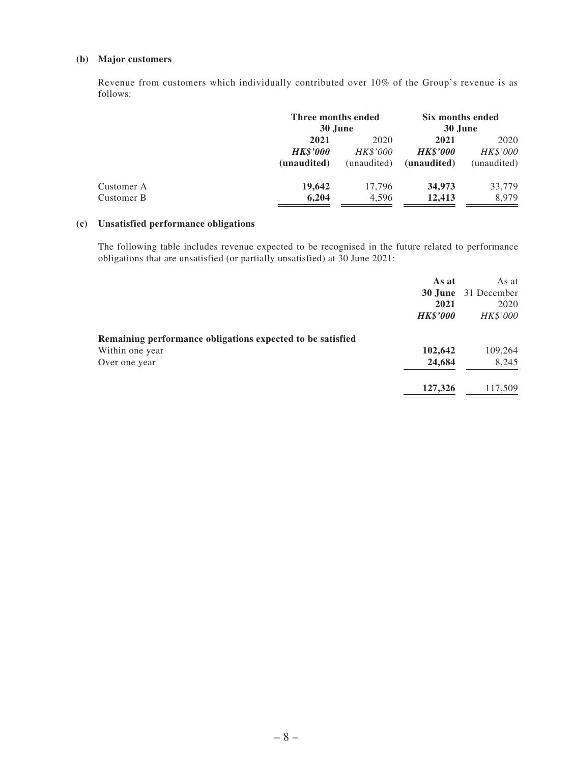#### **(b) Major customers**

Revenue from customers which individually contributed over 10% of the Group's revenue is as follows:

|                 | Three months ended<br>30 June |                 |                             |
|-----------------|-------------------------------|-----------------|-----------------------------|
| 2021            | 2020                          | 2021            | 2020                        |
| <b>HK\$'000</b> | <i>HK\$'000</i>               | <b>HK\$'000</b> | <i>HK\$'000</i>             |
| (unaudited)     | (unaudited)                   | (unaudited)     | (unaudited)                 |
| 19,642          | 17.796                        | 34,973          | 33,779                      |
| 6,204           | 4,596                         | 12,413          | 8.979                       |
|                 |                               |                 | Six months ended<br>30 June |

#### **(c) Unsatisfied performance obligations**

The following table includes revenue expected to be recognised in the future related to performance obligations that are unsatisfied (or partially unsatisfied) at 30 June 2021:

|                                                            | As at           | As at                      |
|------------------------------------------------------------|-----------------|----------------------------|
|                                                            |                 | <b>30 June</b> 31 December |
|                                                            | 2021            | 2020                       |
|                                                            | <b>HK\$'000</b> | HK\$'000                   |
| Remaining performance obligations expected to be satisfied |                 |                            |
| Within one year                                            | 102,642         | 109,264                    |
| Over one year                                              | 24,684          | 8,245                      |
|                                                            | 127,326         | 117,509                    |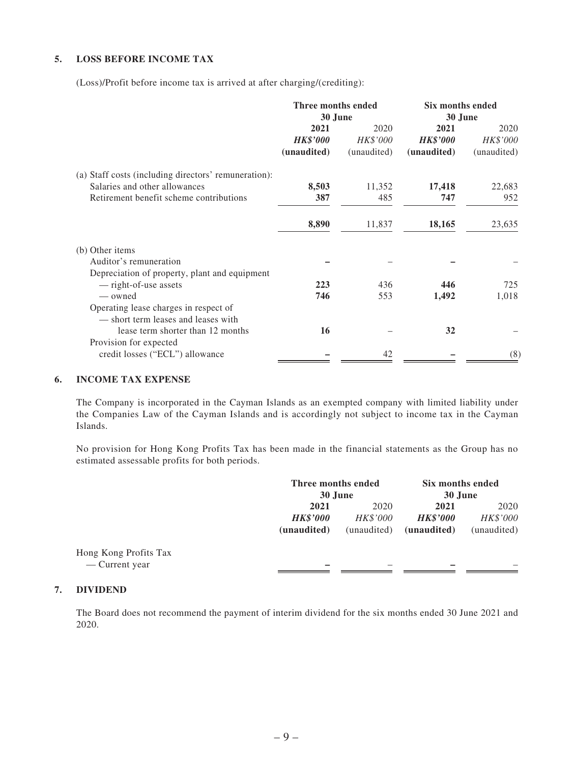#### **5. LOSS BEFORE INCOME TAX**

(Loss)/Profit before income tax is arrived at after charging/(crediting):

|                                                                              | Three months ended<br>30 June |             | Six months ended<br>30 June |             |  |
|------------------------------------------------------------------------------|-------------------------------|-------------|-----------------------------|-------------|--|
|                                                                              | 2021<br>2020                  |             | 2021                        | 2020        |  |
|                                                                              | <b>HK\$'000</b>               | HK\$'000    | <b>HK\$'000</b>             | HK\$'000    |  |
|                                                                              | (unaudited)                   | (unaudited) | (unaudited)                 | (unaudited) |  |
| (a) Staff costs (including directors' remuneration):                         |                               |             |                             |             |  |
| Salaries and other allowances                                                | 8,503                         | 11,352      | 17,418                      | 22,683      |  |
| Retirement benefit scheme contributions                                      | 387                           | 485         | 747                         | 952         |  |
|                                                                              | 8,890                         | 11,837      | 18,165                      | 23,635      |  |
| (b) Other items                                                              |                               |             |                             |             |  |
| Auditor's remuneration                                                       |                               |             |                             |             |  |
| Depreciation of property, plant and equipment                                |                               |             |                             |             |  |
| - right-of-use assets                                                        | 223                           | 436         | 446                         | 725         |  |
| — owned                                                                      | 746                           | 553         | 1,492                       | 1,018       |  |
| Operating lease charges in respect of<br>— short term leases and leases with |                               |             |                             |             |  |
| lease term shorter than 12 months                                            | 16                            |             | 32                          |             |  |
|                                                                              |                               |             |                             |             |  |
| Provision for expected<br>credit losses ("ECL") allowance                    |                               | 42          |                             | (8)         |  |

#### **6. INCOME TAX EXPENSE**

The Company is incorporated in the Cayman Islands as an exempted company with limited liability under the Companies Law of the Cayman Islands and is accordingly not subject to income tax in the Cayman Islands.

No provision for Hong Kong Profits Tax has been made in the financial statements as the Group has no estimated assessable profits for both periods.

|                                         |                                        | Three months ended<br>30 June   |                                        | Six months ended<br>30 June            |
|-----------------------------------------|----------------------------------------|---------------------------------|----------------------------------------|----------------------------------------|
|                                         | 2021<br><b>HK\$'000</b><br>(unaudited) | 2020<br>HK\$'000<br>(unaudited) | 2021<br><b>HK\$'000</b><br>(unaudited) | 2020<br><i>HK\$'000</i><br>(unaudited) |
| Hong Kong Profits Tax<br>— Current year |                                        |                                 |                                        |                                        |

#### **7. DIVIDEND**

The Board does not recommend the payment of interim dividend for the six months ended 30 June 2021 and 2020.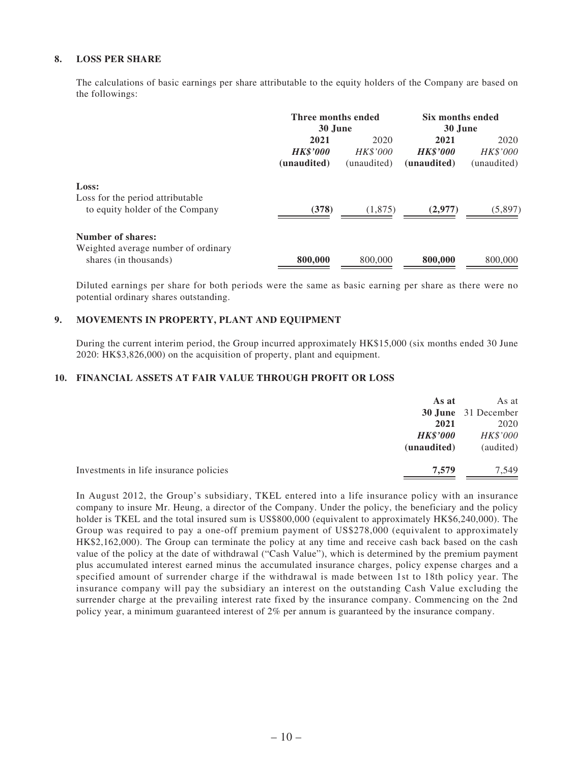#### **8. LOSS PER SHARE**

The calculations of basic earnings per share attributable to the equity holders of the Company are based on the followings:

|                                                                                   | Three months ended<br>30 June          |                                        | Six months ended<br>30 June            |                                        |
|-----------------------------------------------------------------------------------|----------------------------------------|----------------------------------------|----------------------------------------|----------------------------------------|
|                                                                                   | 2021<br><b>HK\$'000</b><br>(unaudited) | 2020<br><b>HK\$'000</b><br>(unaudited) | 2021<br><b>HK\$'000</b><br>(unaudited) | 2020<br><b>HK\$'000</b><br>(unaudited) |
| Loss:<br>Loss for the period attributable<br>to equity holder of the Company      | (378)                                  | (1,875)                                | (2,977)                                | (5,897)                                |
| Number of shares:<br>Weighted average number of ordinary<br>shares (in thousands) | 800,000                                | 800,000                                | 800,000                                | 800,000                                |

Diluted earnings per share for both periods were the same as basic earning per share as there were no potential ordinary shares outstanding.

#### **9. MOVEMENTS IN PROPERTY, PLANT AND EQUIPMENT**

During the current interim period, the Group incurred approximately HK\$15,000 (six months ended 30 June 2020: HK\$3,826,000) on the acquisition of property, plant and equipment.

#### **10. FINANCIAL ASSETS AT FAIR VALUE THROUGH PROFIT OR LOSS**

| As at                                           | As at                      |
|-------------------------------------------------|----------------------------|
|                                                 | <b>30 June</b> 31 December |
| 2021                                            | 2020                       |
| <b>HK\$'000</b>                                 | HK\$'000                   |
| (unaudited)                                     | (audited)                  |
|                                                 |                            |
| 7.579<br>Investments in life insurance policies | 7.549                      |

In August 2012, the Group's subsidiary, TKEL entered into a life insurance policy with an insurance company to insure Mr. Heung, a director of the Company. Under the policy, the beneficiary and the policy holder is TKEL and the total insured sum is US\$800,000 (equivalent to approximately HK\$6,240,000). The Group was required to pay a one-off premium payment of US\$278,000 (equivalent to approximately HK\$2,162,000). The Group can terminate the policy at any time and receive cash back based on the cash value of the policy at the date of withdrawal ("Cash Value"), which is determined by the premium payment plus accumulated interest earned minus the accumulated insurance charges, policy expense charges and a specified amount of surrender charge if the withdrawal is made between 1st to 18th policy year. The insurance company will pay the subsidiary an interest on the outstanding Cash Value excluding the surrender charge at the prevailing interest rate fixed by the insurance company. Commencing on the 2nd policy year, a minimum guaranteed interest of 2% per annum is guaranteed by the insurance company.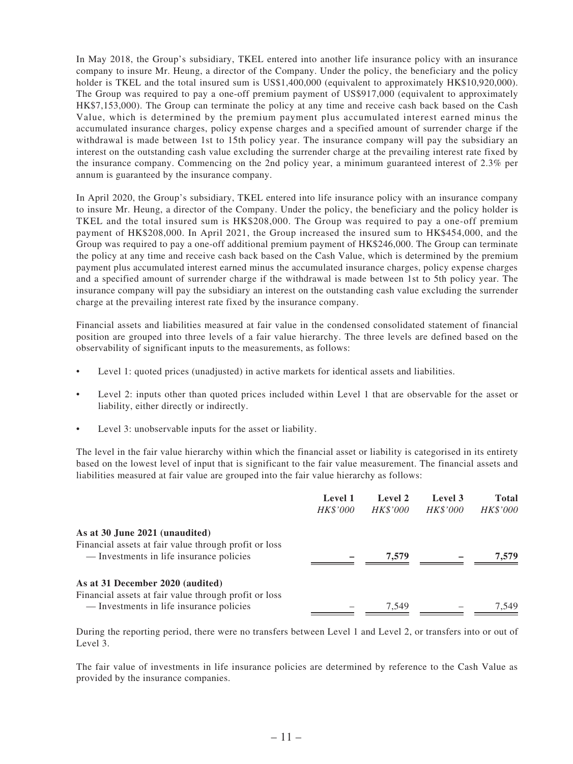In May 2018, the Group's subsidiary, TKEL entered into another life insurance policy with an insurance company to insure Mr. Heung, a director of the Company. Under the policy, the beneficiary and the policy holder is TKEL and the total insured sum is US\$1,400,000 (equivalent to approximately HK\$10,920,000). The Group was required to pay a one-off premium payment of US\$917,000 (equivalent to approximately HK\$7,153,000). The Group can terminate the policy at any time and receive cash back based on the Cash Value, which is determined by the premium payment plus accumulated interest earned minus the accumulated insurance charges, policy expense charges and a specified amount of surrender charge if the withdrawal is made between 1st to 15th policy year. The insurance company will pay the subsidiary an interest on the outstanding cash value excluding the surrender charge at the prevailing interest rate fixed by the insurance company. Commencing on the 2nd policy year, a minimum guaranteed interest of 2.3% per annum is guaranteed by the insurance company.

In April 2020, the Group's subsidiary, TKEL entered into life insurance policy with an insurance company to insure Mr. Heung, a director of the Company. Under the policy, the beneficiary and the policy holder is TKEL and the total insured sum is HK\$208,000. The Group was required to pay a one-off premium payment of HK\$208,000. In April 2021, the Group increased the insured sum to HK\$454,000, and the Group was required to pay a one-off additional premium payment of HK\$246,000. The Group can terminate the policy at any time and receive cash back based on the Cash Value, which is determined by the premium payment plus accumulated interest earned minus the accumulated insurance charges, policy expense charges and a specified amount of surrender charge if the withdrawal is made between 1st to 5th policy year. The insurance company will pay the subsidiary an interest on the outstanding cash value excluding the surrender charge at the prevailing interest rate fixed by the insurance company.

Financial assets and liabilities measured at fair value in the condensed consolidated statement of financial position are grouped into three levels of a fair value hierarchy. The three levels are defined based on the observability of significant inputs to the measurements, as follows:

- Level 1: quoted prices (unadjusted) in active markets for identical assets and liabilities.
- Level 2: inputs other than quoted prices included within Level 1 that are observable for the asset or liability, either directly or indirectly.
- Level 3: unobservable inputs for the asset or liability.

The level in the fair value hierarchy within which the financial asset or liability is categorised in its entirety based on the lowest level of input that is significant to the fair value measurement. The financial assets and liabilities measured at fair value are grouped into the fair value hierarchy as follows:

|                                                                                                   | Level 1<br>HK\$'000 | Level 2<br><b>HK\$'000</b> | Level 3<br>HK\$'000 | <b>Total</b><br><b>HK\$'000</b> |
|---------------------------------------------------------------------------------------------------|---------------------|----------------------------|---------------------|---------------------------------|
| As at 30 June 2021 (unaudited)                                                                    |                     |                            |                     |                                 |
| Financial assets at fair value through profit or loss<br>— Investments in life insurance policies |                     | 7,579                      |                     | 7.579                           |
| As at 31 December 2020 (audited)<br>Financial assets at fair value through profit or loss         |                     |                            |                     |                                 |
| — Investments in life insurance policies                                                          |                     | 7.549                      |                     | 7.549                           |

During the reporting period, there were no transfers between Level 1 and Level 2, or transfers into or out of Level 3.

The fair value of investments in life insurance policies are determined by reference to the Cash Value as provided by the insurance companies.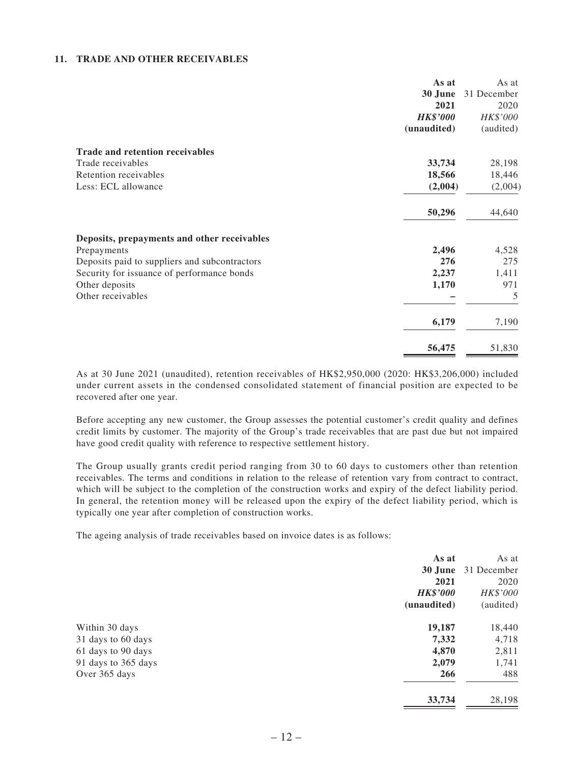#### **11. TRADE AND OTHER RECEIVABLES**

|                                               | As at           | As at       |
|-----------------------------------------------|-----------------|-------------|
|                                               | 30 June         | 31 December |
|                                               | 2021            | 2020        |
|                                               | <b>HK\$'000</b> | HK\$'000    |
|                                               | (unaudited)     | (audited)   |
| <b>Trade and retention receivables</b>        |                 |             |
| Trade receivables                             | 33,734          | 28,198      |
| Retention receivables                         | 18,566          | 18,446      |
| Less: ECL allowance                           | (2,004)         | (2,004)     |
|                                               | 50,296          | 44,640      |
| Deposits, prepayments and other receivables   |                 |             |
| Prepayments                                   | 2,496           | 4,528       |
| Deposits paid to suppliers and subcontractors | 276             | 275         |
| Security for issuance of performance bonds    | 2,237           | 1,411       |
| Other deposits                                | 1,170           | 971         |
| Other receivables                             |                 | 5           |
|                                               | 6,179           | 7,190       |
|                                               | 56,475          | 51,830      |

As at 30 June 2021 (unaudited), retention receivables of HK\$2,950,000 (2020: HK\$3,206,000) included under current assets in the condensed consolidated statement of financial position are expected to be recovered after one year.

Before accepting any new customer, the Group assesses the potential customer's credit quality and defines credit limits by customer. The majority of the Group's trade receivables that are past due but not impaired have good credit quality with reference to respective settlement history.

The Group usually grants credit period ranging from 30 to 60 days to customers other than retention receivables. The terms and conditions in relation to the release of retention vary from contract to contract, which will be subject to the completion of the construction works and expiry of the defect liability period. In general, the retention money will be released upon the expiry of the defect liability period, which is typically one year after completion of construction works.

The ageing analysis of trade receivables based on invoice dates is as follows:

|                     | As at           | As at       |
|---------------------|-----------------|-------------|
|                     | 30 June         | 31 December |
|                     | 2021            | 2020        |
|                     | <b>HK\$'000</b> | HK\$'000    |
|                     | (unaudited)     | (audited)   |
| Within 30 days      | 19,187          | 18,440      |
| 31 days to 60 days  | 7,332           | 4,718       |
| 61 days to 90 days  | 4,870           | 2,811       |
| 91 days to 365 days | 2,079           | 1,741       |
| Over 365 days       | 266             | 488         |
|                     | 33,734          | 28,198      |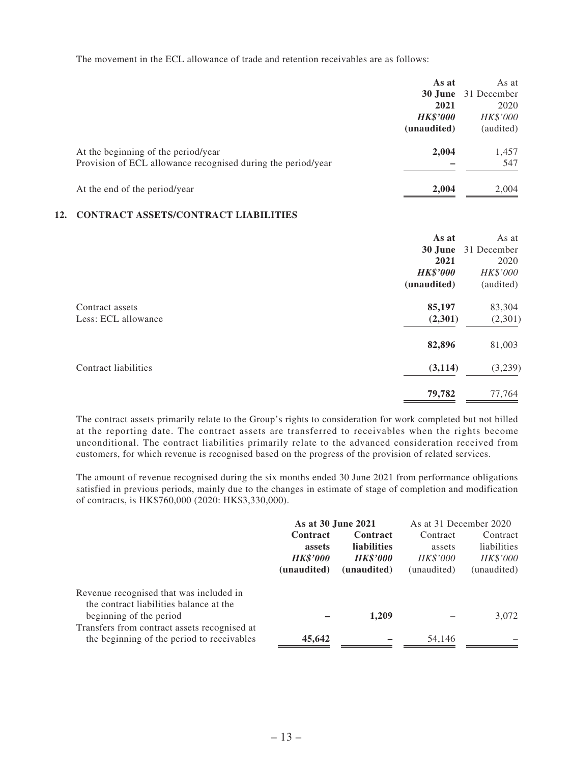The movement in the ECL allowance of trade and retention receivables are as follows:

|                                                              | As at           | As at                      |
|--------------------------------------------------------------|-----------------|----------------------------|
|                                                              |                 | <b>30 June</b> 31 December |
|                                                              | 2021            | 2020                       |
|                                                              | <b>HK\$'000</b> | HK\$'000                   |
|                                                              | (unaudited)     | (audited)                  |
| At the beginning of the period/year                          | 2,004           | 1,457                      |
| Provision of ECL allowance recognised during the period/year |                 | 547                        |
| At the end of the period/year                                | 2,004           | 2,004                      |
| CONTD A CT A CCETC/CONTD A CT I I A RII ITIEC                |                 |                            |

#### **12. CONTRACT ASSETS/CONTRACT LIABILITIES**

|                      | As at           | As at       |
|----------------------|-----------------|-------------|
|                      | 30 June         | 31 December |
|                      | 2021            | 2020        |
|                      | <b>HK\$'000</b> | HK\$'000    |
|                      | (unaudited)     | (audited)   |
| Contract assets      | 85,197          | 83,304      |
| Less: ECL allowance  | (2,301)         | (2,301)     |
|                      | 82,896          | 81,003      |
| Contract liabilities | (3, 114)        | (3,239)     |
|                      | 79,782          | 77,764      |

The contract assets primarily relate to the Group's rights to consideration for work completed but not billed at the reporting date. The contract assets are transferred to receivables when the rights become unconditional. The contract liabilities primarily relate to the advanced consideration received from customers, for which revenue is recognised based on the progress of the provision of related services.

The amount of revenue recognised during the six months ended 30 June 2021 from performance obligations satisfied in previous periods, mainly due to the changes in estimate of stage of completion and modification of contracts, is HK\$760,000 (2020: HK\$3,330,000).

| As at 30 June 2021 |                    | As at 31 December 2020 |             |
|--------------------|--------------------|------------------------|-------------|
| Contract           | <b>Contract</b>    | Contract               | Contract    |
| assets             | <b>liabilities</b> | assets                 | liabilities |
| <b>HK\$'000</b>    | <b>HK\$'000</b>    | <b>HK\$'000</b>        | HK\$'000    |
| (unaudited)        | (unaudited)        | (unaudited)            | (unaudited) |
|                    |                    |                        |             |
|                    | 1.209              |                        | 3,072       |
| 45,642             |                    | 54,146                 |             |
|                    |                    |                        |             |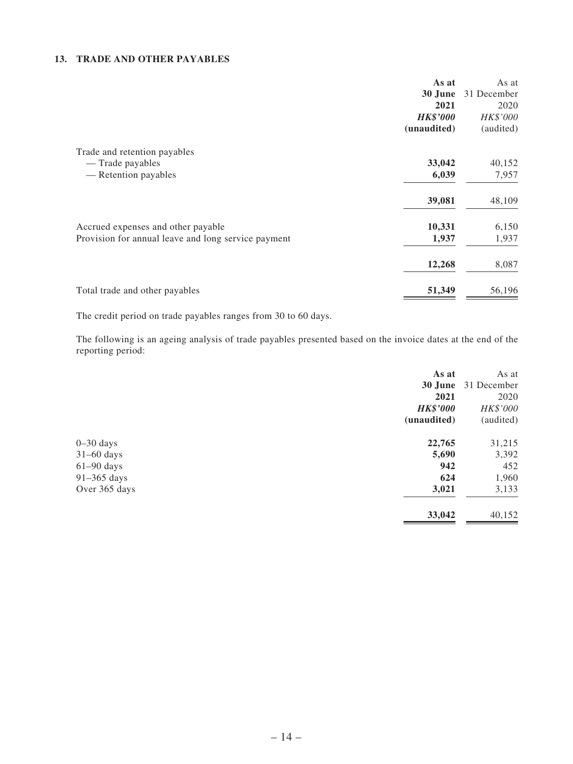#### **13. TRADE AND OTHER PAYABLES**

|                                                     | As at  | As at       |
|-----------------------------------------------------|--------|-------------|
| 30 June                                             |        | 31 December |
|                                                     | 2021   | 2020        |
| <b>HK\$'000</b>                                     |        | HK\$'000    |
| (unaudited)                                         |        | (audited)   |
| Trade and retention payables                        |        |             |
| — Trade payables                                    | 33,042 | 40,152      |
| — Retention payables                                | 6,039  | 7,957       |
|                                                     | 39,081 | 48,109      |
| Accrued expenses and other payable                  | 10,331 | 6,150       |
| Provision for annual leave and long service payment | 1,937  | 1,937       |
|                                                     | 12,268 | 8,087       |
| Total trade and other payables                      | 51,349 | 56,196      |

The credit period on trade payables ranges from 30 to 60 days.

The following is an ageing analysis of trade payables presented based on the invoice dates at the end of the reporting period:

|               | As at           | As at       |
|---------------|-----------------|-------------|
|               | 30 June         | 31 December |
|               | 2021            | 2020        |
|               | <b>HK\$'000</b> | HK\$'000    |
|               | (unaudited)     | (audited)   |
| $0-30$ days   | 22,765          | 31,215      |
| $31-60$ days  | 5,690           | 3,392       |
| $61-90$ days  | 942             | 452         |
| $91-365$ days | 624             | 1,960       |
| Over 365 days | 3,021           | 3,133       |
|               | 33,042          | 40,152      |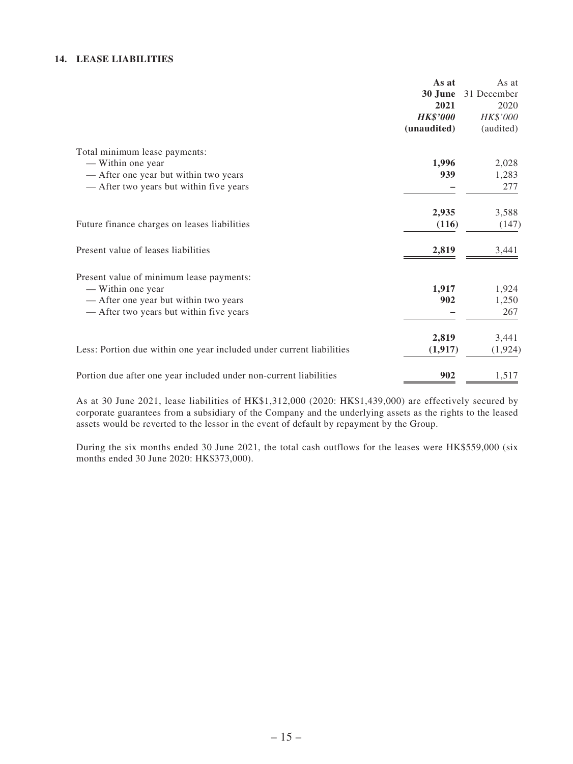#### **14. LEASE LIABILITIES**

| As at               |
|---------------------|
| 31 December         |
| 2020                |
| HK\$'000            |
| (audited)           |
|                     |
| 2,028               |
| 1,283               |
| 277                 |
| 3,588               |
| (116)<br>(147)      |
| 3,441               |
|                     |
| 1,924               |
| 1,250               |
| 267                 |
| 3,441               |
| (1, 917)<br>(1,924) |
| 1,517               |
|                     |

As at 30 June 2021, lease liabilities of HK\$1,312,000 (2020: HK\$1,439,000) are effectively secured by corporate guarantees from a subsidiary of the Company and the underlying assets as the rights to the leased assets would be reverted to the lessor in the event of default by repayment by the Group.

During the six months ended 30 June 2021, the total cash outflows for the leases were HK\$559,000 (six months ended 30 June 2020: HK\$373,000).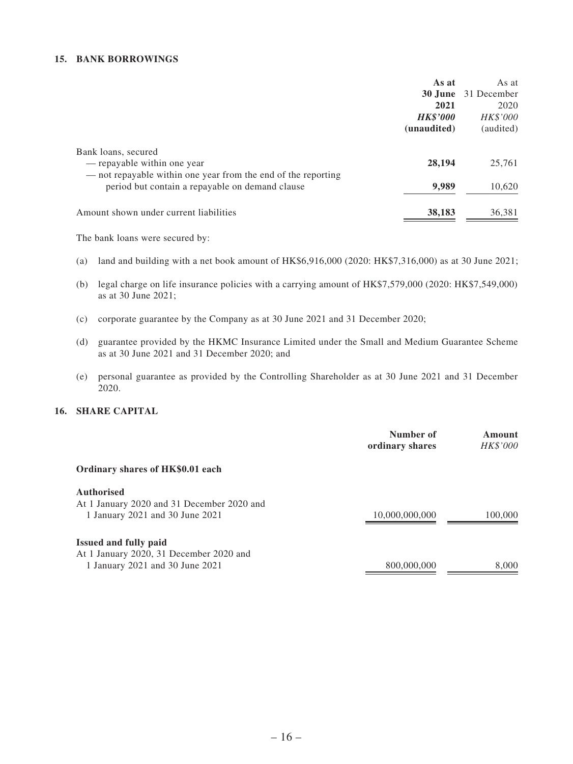#### **15. BANK BORROWINGS**

|                                                                                                                                                                        | As at           | As at            |
|------------------------------------------------------------------------------------------------------------------------------------------------------------------------|-----------------|------------------|
|                                                                                                                                                                        | 30 June         | 31 December      |
|                                                                                                                                                                        | 2021            | 2020             |
|                                                                                                                                                                        | <b>HK\$'000</b> | HK\$'000         |
|                                                                                                                                                                        | (unaudited)     | (audited)        |
| Bank loans, secured<br>— repayable within one year<br>— not repayable within one year from the end of the reporting<br>period but contain a repayable on demand clause | 28,194<br>9,989 | 25,761<br>10,620 |
| Amount shown under current liabilities                                                                                                                                 | 38,183          | 36,381           |

The bank loans were secured by:

- (a) land and building with a net book amount of HK\$6,916,000 (2020: HK\$7,316,000) as at 30 June 2021;
- (b) legal charge on life insurance policies with a carrying amount of HK\$7,579,000 (2020: HK\$7,549,000) as at 30 June 2021;
- (c) corporate guarantee by the Company as at 30 June 2021 and 31 December 2020;
- (d) guarantee provided by the HKMC Insurance Limited under the Small and Medium Guarantee Scheme as at 30 June 2021 and 31 December 2020; and
- (e) personal guarantee as provided by the Controlling Shareholder as at 30 June 2021 and 31 December 2020.

#### **16. SHARE CAPITAL**

|                                                                            | Number of<br>ordinary shares | Amount<br>HK\$'000 |
|----------------------------------------------------------------------------|------------------------------|--------------------|
| Ordinary shares of HK\$0.01 each                                           |                              |                    |
| <b>Authorised</b><br>At 1 January 2020 and 31 December 2020 and            |                              |                    |
| 1 January 2021 and 30 June 2021                                            | 10,000,000,000               | 100,000            |
| <b>Issued and fully paid</b>                                               |                              |                    |
| At 1 January 2020, 31 December 2020 and<br>1 January 2021 and 30 June 2021 | 800,000,000                  | 8,000              |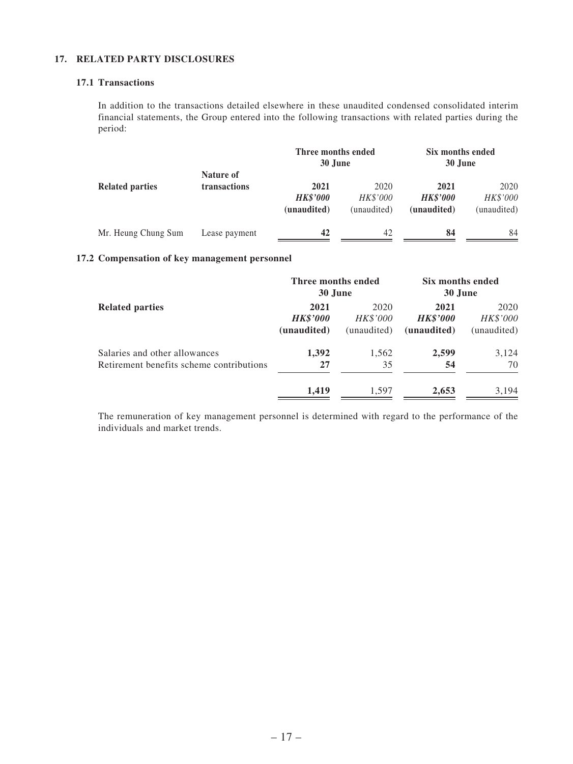#### **17. RELATED PARTY DISCLOSURES**

#### **17.1 Transactions**

In addition to the transactions detailed elsewhere in these unaudited condensed consolidated interim financial statements, the Group entered into the following transactions with related parties during the period:

|                        |               | Three months ended<br>30 June |                 | Six months ended<br>30 June |             |  |  |
|------------------------|---------------|-------------------------------|-----------------|-----------------------------|-------------|--|--|
| <b>Related parties</b> | Nature of     |                               |                 |                             |             |  |  |
|                        | transactions  | 2021                          | 2020            | 2021                        | 2020        |  |  |
|                        |               | <b>HK\$'000</b>               | <b>HK\$'000</b> | <b>HK\$'000</b>             | HK\$'000    |  |  |
|                        |               | (unaudited)                   | (unaudited)     | (unaudited)                 | (unaudited) |  |  |
| Mr. Heung Chung Sum    | Lease payment | 42                            | 42              | 84                          | 84          |  |  |

#### **17.2 Compensation of key management personnel**

|                                          |                 | Three months ended<br>30 June |                 | Six months ended<br>30 June |
|------------------------------------------|-----------------|-------------------------------|-----------------|-----------------------------|
| <b>Related parties</b>                   | 2021            | 2020                          | 2021            | 2020                        |
|                                          | <b>HK\$'000</b> | <b>HK\$'000</b>               | <b>HK\$'000</b> | HK\$'000                    |
|                                          | (unaudited)     | (unaudited)                   | (unaudited)     | (unaudited)                 |
| Salaries and other allowances            | 1,392           | 1,562                         | 2,599           | 3,124                       |
| Retirement benefits scheme contributions | 27              | 35                            | 54              | 70                          |
|                                          | 1,419           | 1,597                         | 2,653           | 3,194                       |

The remuneration of key management personnel is determined with regard to the performance of the individuals and market trends.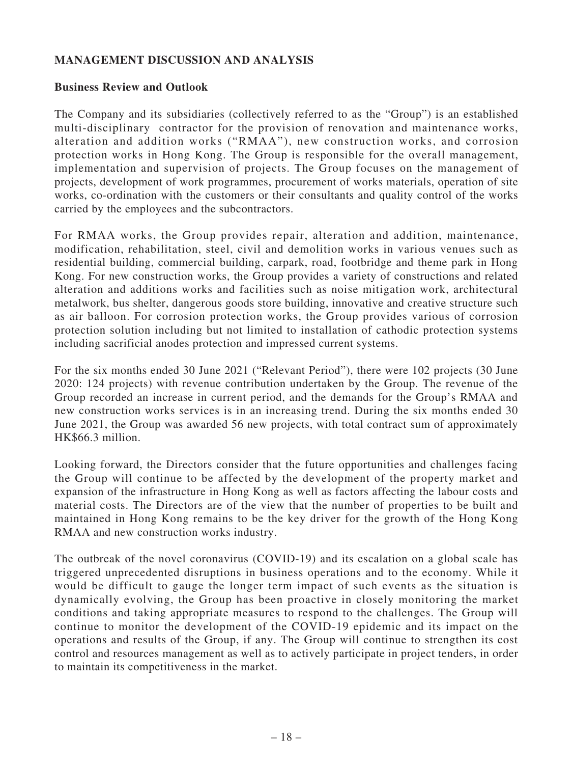# **MANAGEMENT DISCUSSION AND ANALYSIS**

#### **Business Review and Outlook**

The Company and its subsidiaries (collectively referred to as the "Group") is an established multi-disciplinary contractor for the provision of renovation and maintenance works, alteration and addition works ("RMAA"), new construction works, and corrosion protection works in Hong Kong. The Group is responsible for the overall management, implementation and supervision of projects. The Group focuses on the management of projects, development of work programmes, procurement of works materials, operation of site works, co-ordination with the customers or their consultants and quality control of the works carried by the employees and the subcontractors.

For RMAA works, the Group provides repair, alteration and addition, maintenance, modification, rehabilitation, steel, civil and demolition works in various venues such as residential building, commercial building, carpark, road, footbridge and theme park in Hong Kong. For new construction works, the Group provides a variety of constructions and related alteration and additions works and facilities such as noise mitigation work, architectural metalwork, bus shelter, dangerous goods store building, innovative and creative structure such as air balloon. For corrosion protection works, the Group provides various of corrosion protection solution including but not limited to installation of cathodic protection systems including sacrificial anodes protection and impressed current systems.

For the six months ended 30 June 2021 ("Relevant Period"), there were 102 projects (30 June 2020: 124 projects) with revenue contribution undertaken by the Group. The revenue of the Group recorded an increase in current period, and the demands for the Group's RMAA and new construction works services is in an increasing trend. During the six months ended 30 June 2021, the Group was awarded 56 new projects, with total contract sum of approximately HK\$66.3 million.

Looking forward, the Directors consider that the future opportunities and challenges facing the Group will continue to be affected by the development of the property market and expansion of the infrastructure in Hong Kong as well as factors affecting the labour costs and material costs. The Directors are of the view that the number of properties to be built and maintained in Hong Kong remains to be the key driver for the growth of the Hong Kong RMAA and new construction works industry.

The outbreak of the novel coronavirus (COVID-19) and its escalation on a global scale has triggered unprecedented disruptions in business operations and to the economy. While it would be difficult to gauge the longer term impact of such events as the situation is dynamically evolving, the Group has been proactive in closely monitoring the market conditions and taking appropriate measures to respond to the challenges. The Group will continue to monitor the development of the COVID-19 epidemic and its impact on the operations and results of the Group, if any. The Group will continue to strengthen its cost control and resources management as well as to actively participate in project tenders, in order to maintain its competitiveness in the market.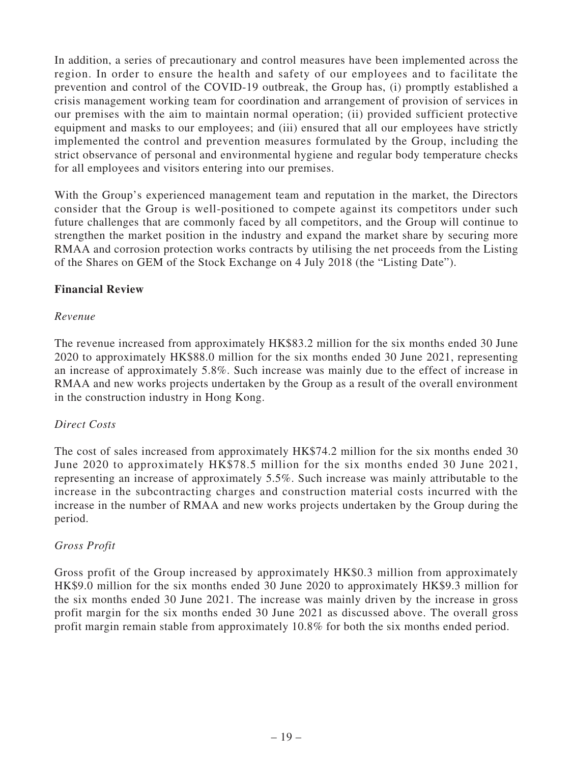In addition, a series of precautionary and control measures have been implemented across the region. In order to ensure the health and safety of our employees and to facilitate the prevention and control of the COVID-19 outbreak, the Group has, (i) promptly established a crisis management working team for coordination and arrangement of provision of services in our premises with the aim to maintain normal operation; (ii) provided sufficient protective equipment and masks to our employees; and (iii) ensured that all our employees have strictly implemented the control and prevention measures formulated by the Group, including the strict observance of personal and environmental hygiene and regular body temperature checks for all employees and visitors entering into our premises.

With the Group's experienced management team and reputation in the market, the Directors consider that the Group is well-positioned to compete against its competitors under such future challenges that are commonly faced by all competitors, and the Group will continue to strengthen the market position in the industry and expand the market share by securing more RMAA and corrosion protection works contracts by utilising the net proceeds from the Listing of the Shares on GEM of the Stock Exchange on 4 July 2018 (the "Listing Date").

### **Financial Review**

### *Revenue*

The revenue increased from approximately HK\$83.2 million for the six months ended 30 June 2020 to approximately HK\$88.0 million for the six months ended 30 June 2021, representing an increase of approximately 5.8%. Such increase was mainly due to the effect of increase in RMAA and new works projects undertaken by the Group as a result of the overall environment in the construction industry in Hong Kong.

### *Direct Costs*

The cost of sales increased from approximately HK\$74.2 million for the six months ended 30 June 2020 to approximately HK\$78.5 million for the six months ended 30 June 2021, representing an increase of approximately 5.5%. Such increase was mainly attributable to the increase in the subcontracting charges and construction material costs incurred with the increase in the number of RMAA and new works projects undertaken by the Group during the period.

### *Gross Profit*

Gross profit of the Group increased by approximately HK\$0.3 million from approximately HK\$9.0 million for the six months ended 30 June 2020 to approximately HK\$9.3 million for the six months ended 30 June 2021. The increase was mainly driven by the increase in gross profit margin for the six months ended 30 June 2021 as discussed above. The overall gross profit margin remain stable from approximately 10.8% for both the six months ended period.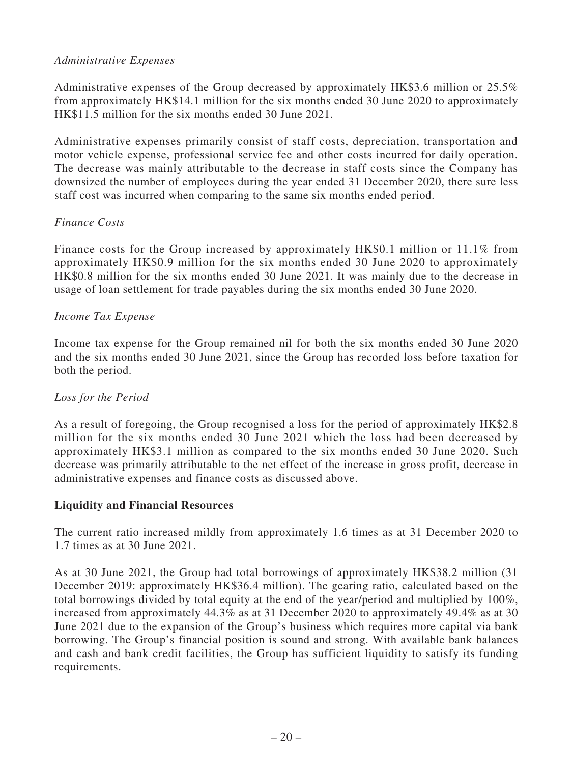# *Administrative Expenses*

Administrative expenses of the Group decreased by approximately HK\$3.6 million or 25.5% from approximately HK\$14.1 million for the six months ended 30 June 2020 to approximately HK\$11.5 million for the six months ended 30 June 2021.

Administrative expenses primarily consist of staff costs, depreciation, transportation and motor vehicle expense, professional service fee and other costs incurred for daily operation. The decrease was mainly attributable to the decrease in staff costs since the Company has downsized the number of employees during the year ended 31 December 2020, there sure less staff cost was incurred when comparing to the same six months ended period.

### *Finance Costs*

Finance costs for the Group increased by approximately HK\$0.1 million or 11.1% from approximately HK\$0.9 million for the six months ended 30 June 2020 to approximately HK\$0.8 million for the six months ended 30 June 2021. It was mainly due to the decrease in usage of loan settlement for trade payables during the six months ended 30 June 2020.

#### *Income Tax Expense*

Income tax expense for the Group remained nil for both the six months ended 30 June 2020 and the six months ended 30 June 2021, since the Group has recorded loss before taxation for both the period.

### *Loss for the Period*

As a result of foregoing, the Group recognised a loss for the period of approximately HK\$2.8 million for the six months ended 30 June 2021 which the loss had been decreased by approximately HK\$3.1 million as compared to the six months ended 30 June 2020. Such decrease was primarily attributable to the net effect of the increase in gross profit, decrease in administrative expenses and finance costs as discussed above.

#### **Liquidity and Financial Resources**

The current ratio increased mildly from approximately 1.6 times as at 31 December 2020 to 1.7 times as at 30 June 2021.

As at 30 June 2021, the Group had total borrowings of approximately HK\$38.2 million (31 December 2019: approximately HK\$36.4 million). The gearing ratio, calculated based on the total borrowings divided by total equity at the end of the year/period and multiplied by 100%, increased from approximately 44.3% as at 31 December 2020 to approximately 49.4% as at 30 June 2021 due to the expansion of the Group's business which requires more capital via bank borrowing. The Group's financial position is sound and strong. With available bank balances and cash and bank credit facilities, the Group has sufficient liquidity to satisfy its funding requirements.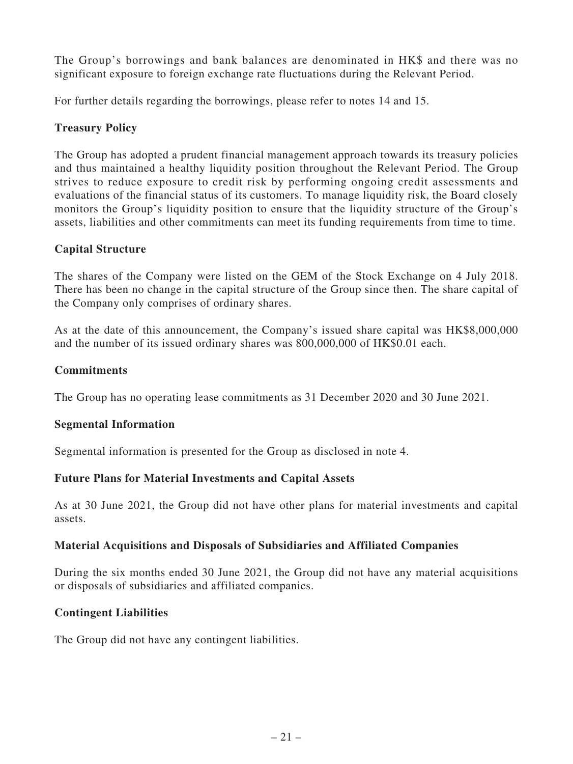The Group's borrowings and bank balances are denominated in HK\$ and there was no significant exposure to foreign exchange rate fluctuations during the Relevant Period.

For further details regarding the borrowings, please refer to notes 14 and 15.

## **Treasury Policy**

The Group has adopted a prudent financial management approach towards its treasury policies and thus maintained a healthy liquidity position throughout the Relevant Period. The Group strives to reduce exposure to credit risk by performing ongoing credit assessments and evaluations of the financial status of its customers. To manage liquidity risk, the Board closely monitors the Group's liquidity position to ensure that the liquidity structure of the Group's assets, liabilities and other commitments can meet its funding requirements from time to time.

# **Capital Structure**

The shares of the Company were listed on the GEM of the Stock Exchange on 4 July 2018. There has been no change in the capital structure of the Group since then. The share capital of the Company only comprises of ordinary shares.

As at the date of this announcement, the Company's issued share capital was HK\$8,000,000 and the number of its issued ordinary shares was 800,000,000 of HK\$0.01 each.

## **Commitments**

The Group has no operating lease commitments as 31 December 2020 and 30 June 2021.

### **Segmental Information**

Segmental information is presented for the Group as disclosed in note 4.

### **Future Plans for Material Investments and Capital Assets**

As at 30 June 2021, the Group did not have other plans for material investments and capital assets.

### **Material Acquisitions and Disposals of Subsidiaries and Affiliated Companies**

During the six months ended 30 June 2021, the Group did not have any material acquisitions or disposals of subsidiaries and affiliated companies.

### **Contingent Liabilities**

The Group did not have any contingent liabilities.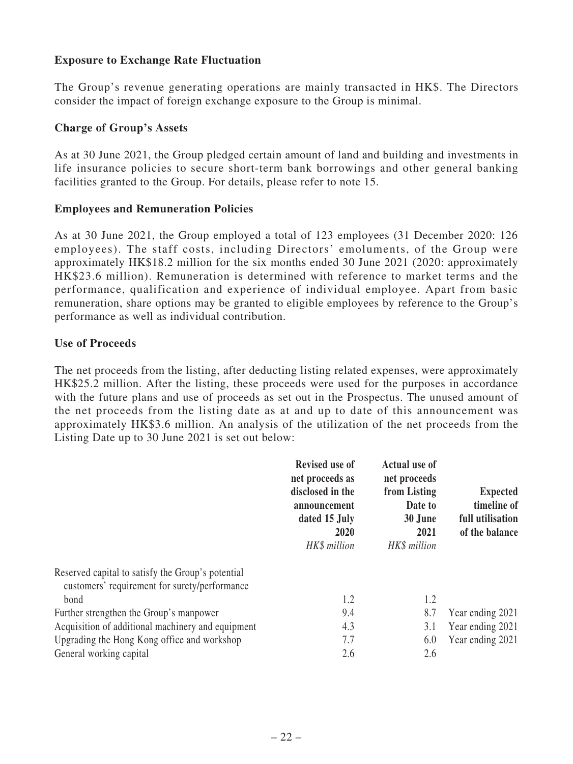## **Exposure to Exchange Rate Fluctuation**

The Group's revenue generating operations are mainly transacted in HK\$. The Directors consider the impact of foreign exchange exposure to the Group is minimal.

#### **Charge of Group's Assets**

As at 30 June 2021, the Group pledged certain amount of land and building and investments in life insurance policies to secure short-term bank borrowings and other general banking facilities granted to the Group. For details, please refer to note 15.

#### **Employees and Remuneration Policies**

As at 30 June 2021, the Group employed a total of 123 employees (31 December 2020: 126 employees). The staff costs, including Directors' emoluments, of the Group were approximately HK\$18.2 million for the six months ended 30 June 2021 (2020: approximately HK\$23.6 million). Remuneration is determined with reference to market terms and the performance, qualification and experience of individual employee. Apart from basic remuneration, share options may be granted to eligible employees by reference to the Group's performance as well as individual contribution.

#### **Use of Proceeds**

The net proceeds from the listing, after deducting listing related expenses, were approximately HK\$25.2 million. After the listing, these proceeds were used for the purposes in accordance with the future plans and use of proceeds as set out in the Prospectus. The unused amount of the net proceeds from the listing date as at and up to date of this announcement was approximately HK\$3.6 million. An analysis of the utilization of the net proceeds from the Listing Date up to 30 June 2021 is set out below:

|                                                                                                    | <b>Revised use of</b><br>net proceeds as<br>disclosed in the<br>announcement<br>dated 15 July<br>2020<br>HK\$ million | <b>Actual use of</b><br>net proceeds<br>from Listing<br>Date to<br>30 June<br>2021<br>HK\$ million | <b>Expected</b><br>timeline of<br>full utilisation<br>of the balance |
|----------------------------------------------------------------------------------------------------|-----------------------------------------------------------------------------------------------------------------------|----------------------------------------------------------------------------------------------------|----------------------------------------------------------------------|
| Reserved capital to satisfy the Group's potential<br>customers' requirement for surety/performance |                                                                                                                       |                                                                                                    |                                                                      |
| bond                                                                                               | 1.2                                                                                                                   | 1.2                                                                                                |                                                                      |
| Further strengthen the Group's manpower                                                            | 9.4                                                                                                                   | 8.7                                                                                                | Year ending 2021                                                     |
| Acquisition of additional machinery and equipment                                                  | 4.3                                                                                                                   | 3.1                                                                                                | Year ending 2021                                                     |
| Upgrading the Hong Kong office and workshop                                                        | 7.7                                                                                                                   | 6.0                                                                                                | Year ending 2021                                                     |
| General working capital                                                                            | 2.6                                                                                                                   | 2.6                                                                                                |                                                                      |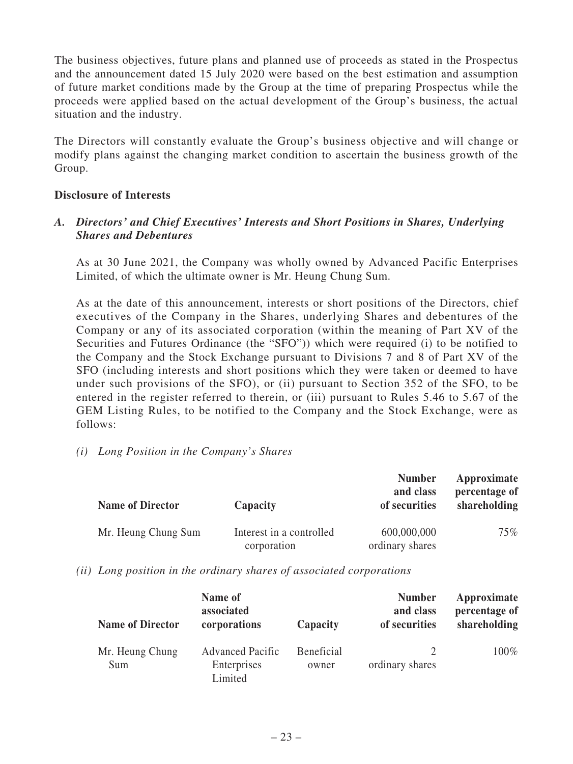The business objectives, future plans and planned use of proceeds as stated in the Prospectus and the announcement dated 15 July 2020 were based on the best estimation and assumption of future market conditions made by the Group at the time of preparing Prospectus while the proceeds were applied based on the actual development of the Group's business, the actual situation and the industry.

The Directors will constantly evaluate the Group's business objective and will change or modify plans against the changing market condition to ascertain the business growth of the Group.

#### **Disclosure of Interests**

### *A. Directors' and Chief Executives' Interests and Short Positions in Shares, Underlying Shares and Debentures*

As at 30 June 2021, the Company was wholly owned by Advanced Pacific Enterprises Limited, of which the ultimate owner is Mr. Heung Chung Sum.

As at the date of this announcement, interests or short positions of the Directors, chief executives of the Company in the Shares, underlying Shares and debentures of the Company or any of its associated corporation (within the meaning of Part XV of the Securities and Futures Ordinance (the "SFO")) which were required (i) to be notified to the Company and the Stock Exchange pursuant to Divisions 7 and 8 of Part XV of the SFO (including interests and short positions which they were taken or deemed to have under such provisions of the SFO), or (ii) pursuant to Section 352 of the SFO, to be entered in the register referred to therein, or (iii) pursuant to Rules 5.46 to 5.67 of the GEM Listing Rules, to be notified to the Company and the Stock Exchange, were as follows:

*(i) Long Position in the Company's Shares*

| <b>Name of Director</b> | Capacity                                | <b>Number</b><br>and class<br>of securities | Approximate<br>percentage of<br>shareholding |
|-------------------------|-----------------------------------------|---------------------------------------------|----------------------------------------------|
| Mr. Heung Chung Sum     | Interest in a controlled<br>corporation | 600,000,000<br>ordinary shares              | $75\%$                                       |

*(ii) Long position in the ordinary shares of associated corporations*

| <b>Name of Director</b> | Name of<br>associated<br>corporations             | Capacity                   | <b>Number</b><br>and class<br>of securities | Approximate<br>percentage of<br>shareholding |
|-------------------------|---------------------------------------------------|----------------------------|---------------------------------------------|----------------------------------------------|
| Mr. Heung Chung<br>Sum  | <b>Advanced Pacific</b><br>Enterprises<br>Limited | <b>Beneficial</b><br>owner | ordinary shares                             | $100\%$                                      |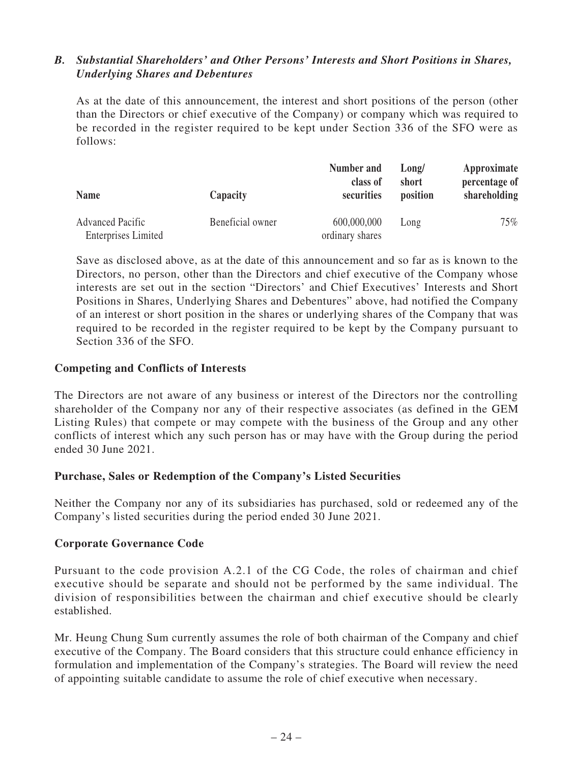### *B. Substantial Shareholders' and Other Persons' Interests and Short Positions in Shares, Underlying Shares and Debentures*

As at the date of this announcement, the interest and short positions of the person (other than the Directors or chief executive of the Company) or company which was required to be recorded in the register required to be kept under Section 336 of the SFO were as follows:

| <b>Name</b>                | Capacity         | Number and<br>class of<br>securities |      | Approximate<br>percentage of<br>shareholding |
|----------------------------|------------------|--------------------------------------|------|----------------------------------------------|
| <b>Advanced Pacific</b>    | Beneficial owner | 600,000,000                          | Long | 75%                                          |
| <b>Enterprises Limited</b> |                  | ordinary shares                      |      |                                              |

Save as disclosed above, as at the date of this announcement and so far as is known to the Directors, no person, other than the Directors and chief executive of the Company whose interests are set out in the section "Directors' and Chief Executives' Interests and Short Positions in Shares, Underlying Shares and Debentures" above, had notified the Company of an interest or short position in the shares or underlying shares of the Company that was required to be recorded in the register required to be kept by the Company pursuant to Section 336 of the SFO.

#### **Competing and Conflicts of Interests**

The Directors are not aware of any business or interest of the Directors nor the controlling shareholder of the Company nor any of their respective associates (as defined in the GEM Listing Rules) that compete or may compete with the business of the Group and any other conflicts of interest which any such person has or may have with the Group during the period ended 30 June 2021.

### **Purchase, Sales or Redemption of the Company's Listed Securities**

Neither the Company nor any of its subsidiaries has purchased, sold or redeemed any of the Company's listed securities during the period ended 30 June 2021.

#### **Corporate Governance Code**

Pursuant to the code provision A.2.1 of the CG Code, the roles of chairman and chief executive should be separate and should not be performed by the same individual. The division of responsibilities between the chairman and chief executive should be clearly established.

Mr. Heung Chung Sum currently assumes the role of both chairman of the Company and chief executive of the Company. The Board considers that this structure could enhance efficiency in formulation and implementation of the Company's strategies. The Board will review the need of appointing suitable candidate to assume the role of chief executive when necessary.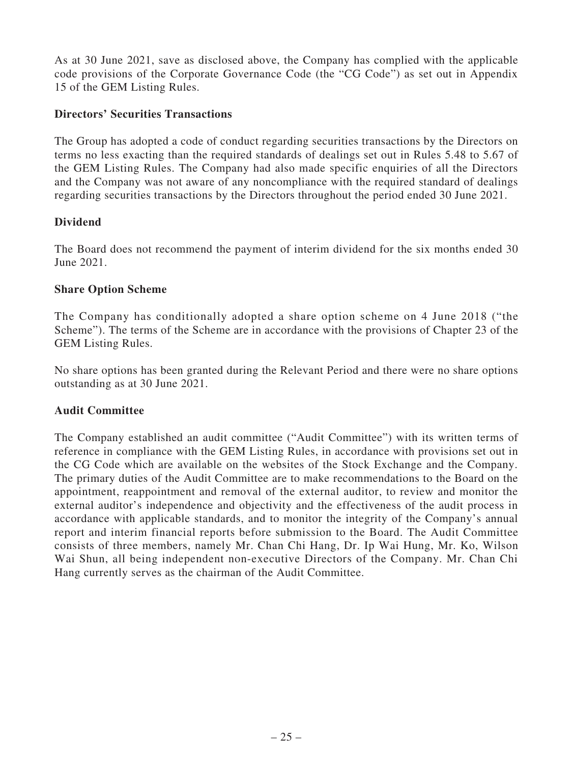As at 30 June 2021, save as disclosed above, the Company has complied with the applicable code provisions of the Corporate Governance Code (the "CG Code") as set out in Appendix 15 of the GEM Listing Rules.

### **Directors' Securities Transactions**

The Group has adopted a code of conduct regarding securities transactions by the Directors on terms no less exacting than the required standards of dealings set out in Rules 5.48 to 5.67 of the GEM Listing Rules. The Company had also made specific enquiries of all the Directors and the Company was not aware of any noncompliance with the required standard of dealings regarding securities transactions by the Directors throughout the period ended 30 June 2021.

# **Dividend**

The Board does not recommend the payment of interim dividend for the six months ended 30 June 2021.

### **Share Option Scheme**

The Company has conditionally adopted a share option scheme on 4 June 2018 ("the Scheme"). The terms of the Scheme are in accordance with the provisions of Chapter 23 of the GEM Listing Rules.

No share options has been granted during the Relevant Period and there were no share options outstanding as at 30 June 2021.

### **Audit Committee**

The Company established an audit committee ("Audit Committee") with its written terms of reference in compliance with the GEM Listing Rules, in accordance with provisions set out in the CG Code which are available on the websites of the Stock Exchange and the Company. The primary duties of the Audit Committee are to make recommendations to the Board on the appointment, reappointment and removal of the external auditor, to review and monitor the external auditor's independence and objectivity and the effectiveness of the audit process in accordance with applicable standards, and to monitor the integrity of the Company's annual report and interim financial reports before submission to the Board. The Audit Committee consists of three members, namely Mr. Chan Chi Hang, Dr. Ip Wai Hung, Mr. Ko, Wilson Wai Shun, all being independent non-executive Directors of the Company. Mr. Chan Chi Hang currently serves as the chairman of the Audit Committee.